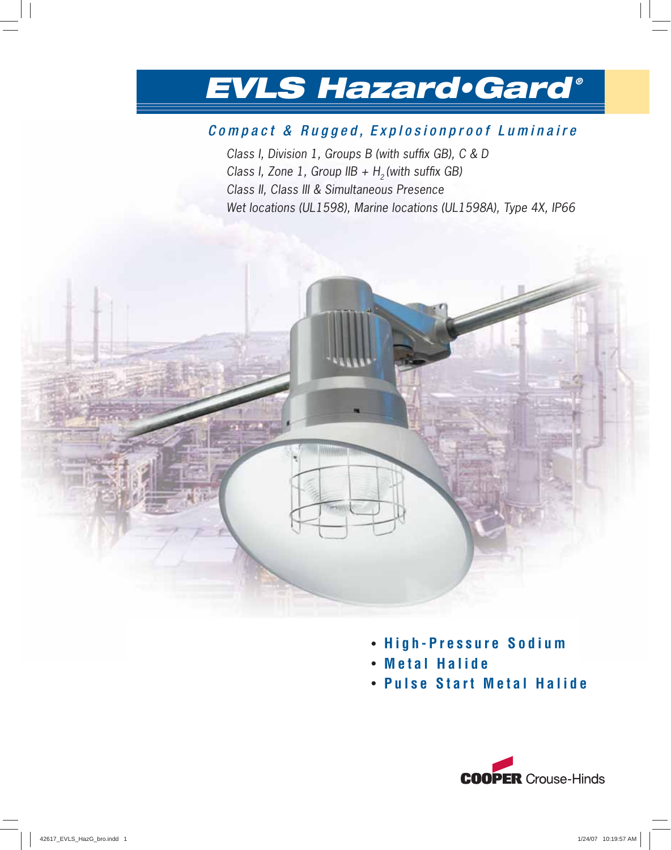## Compact & Rugged, Explosionproof Luminaire

Class I, Division 1, Groups B (with suffix GB), C & D Class I, Zone 1, Group IIB +  $H_2$  (with suffix GB) Class II, Class III & Simultaneous Presence Wet locations (UL1598), Marine locations (UL1598A), Type 4X, IP66



- **Metal Halide**
- **Pulse Start Metal Halide**

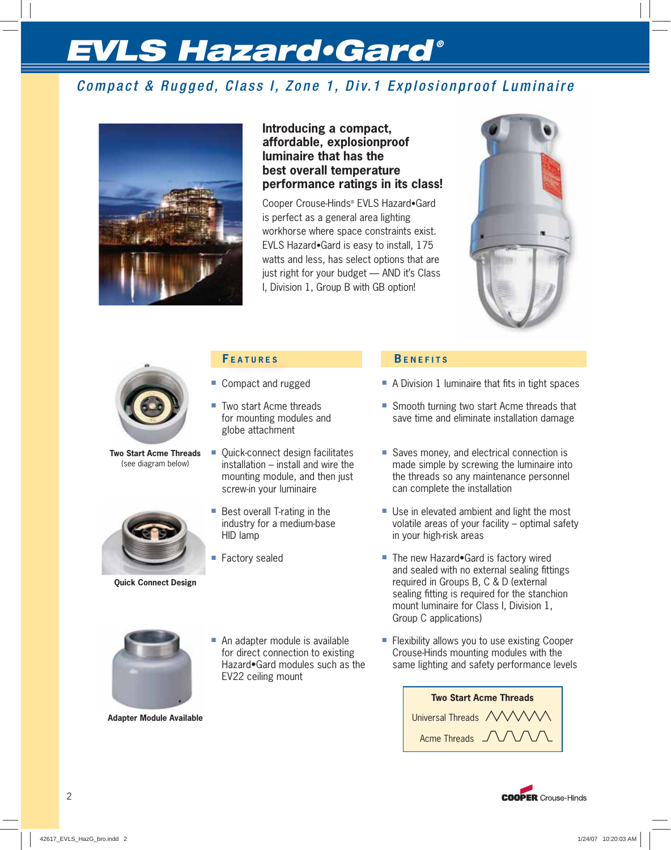## Compact & Rugged, Class I, Zone 1, Div.1 Explosionproof Luminaire



## **Introducing a compact, affordable, explosionproof luminaire that has the best overall temperature performance ratings in its class!**

Cooper Crouse-Hinds® EVLS Hazard•Gard is perfect as a general area lighting workhorse where space constraints exist. EVLS Hazard•Gard is easy to install, 175 watts and less, has select options that are just right for your budget — AND it's Class I, Division 1, Group B with GB option!





**Two Start Acme Threads** (see diagram below)



**Quick Connect Design**

## **F EATURES**

- Compact and rugged
- Two start Acme threads for mounting modules and globe attachment
- Quick-connect design facilitates installation – install and wire the mounting module, and then just screw-in your luminaire
- Best overall T-rating in the industry for a medium-base HID lamp
- Factory sealed

## **B ENEFITS**

- $\blacksquare$  A Division 1 luminaire that fits in tight spaces
- Smooth turning two start Acme threads that save time and eliminate installation damage
- Saves money, and electrical connection is made simple by screwing the luminaire into the threads so any maintenance personnel can complete the installation
- Use in elevated ambient and light the most volatile areas of your facility – optimal safety in your high-risk areas
- The new Hazard•Gard is factory wired and sealed with no external sealing fittings required in Groups B, C & D (external sealing fitting is required for the stanchion mount luminaire for Class I, Division 1, Group C applications)



**Adapter Module Available**

- An adapter module is available for direct connection to existing Hazard•Gard modules such as the EV22 ceiling mount
- Flexibility allows you to use existing Cooper Crouse-Hinds mounting modules with the same lighting and safety performance levels



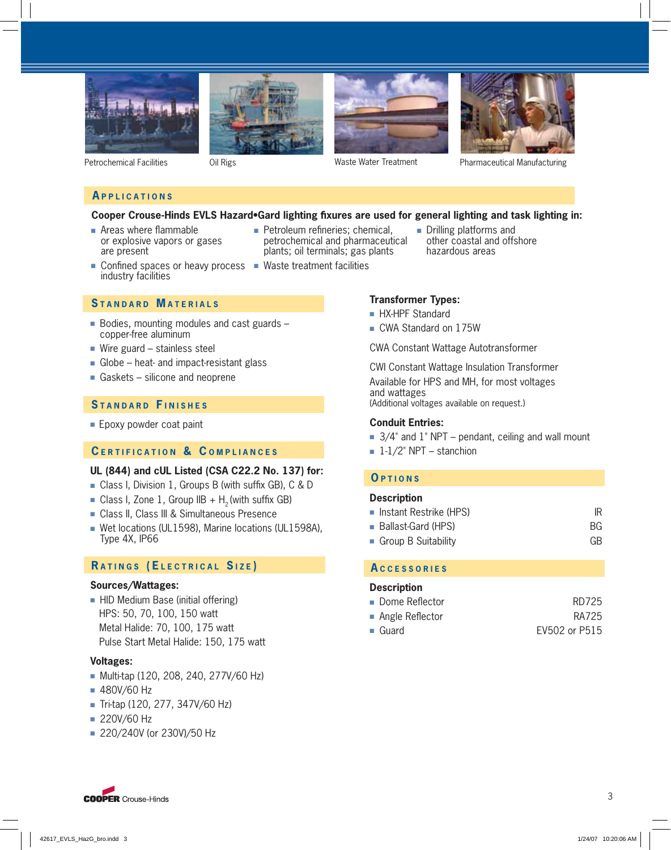







Petrochemical Facilities Oil Rigs Waste Water Treatment Pharmaceutical Manufacturing

## **A PPLICATIONS**

### Cooper Crouse-Hinds EVLS Hazard•Gard lighting fixures are used for general lighting and task lighting in:

- $\blacksquare$  Areas where flammable or explosive vapors or gases are present
- $\blacksquare$  Petroleum refineries; chemical, petrochemical and pharmaceutical plants; oil terminals; gas plants
- 
- Drilling platforms and other coastal and offshore hazardous areas
- Confined spaces or heavy process Waste treatment facilities industry facilities

### **S TANDARD M ATERIALS**

- Bodies, mounting modules and cast guards copper-free aluminum
- Wire guard stainless steel
- Globe heat- and impact-resistant glass
- Gaskets silicone and neoprene

## **S TANDARD F INISHES**

■ Epoxy powder coat paint

### **C ERTIFICATION & C OMPLIANCES**

### **UL (844) and cUL Listed (CSA C22.2 No. 137) for:**

- Class I, Division 1, Groups B (with suffix GB), C & D
- Class I, Zone 1, Group IIB  $+ H<sub>2</sub>$  (with suffix GB)
- Class II, Class III & Simultaneous Presence
- Wet locations (UL1598), Marine locations (UL1598A), Type 4X, IP66

## **R ATINGS (E LECTRICAL S IZE )**

### **Sources/Wattages:**

■ HID Medium Base (initial offering) HPS: 50, 70, 100, 150 watt Metal Halide: 70, 100, 175 watt Pulse Start Metal Halide: 150, 175 watt

### **Voltages:**

- Multi-tap (120, 208, 240, 277V/60 Hz)
- 480V/60 Hz
- Tri-tap (120, 277, 347V/60 Hz)
- 220V/60 Hz
- 220/240V (or 230V)/50 Hz

### **Transformer Types:**

- HX-HPF Standard
- CWA Standard on 175W

CWA Constant Wattage Autotransformer

CWI Constant Wattage Insulation Transformer Available for HPS and MH, for most voltages and wattages

(Additional voltages available on request.)

### **Conduit Entries:**

- $\overline{a}$  3/4" and 1" NPT pendant, ceiling and wall mount
- $\blacksquare$  1-1/2" NPT stanchion

### **O PTIONS**

#### **Description**

| Instant Restrike (HPS)             | IR        |
|------------------------------------|-----------|
| ■ Ballast-Gard (HPS)               | <b>BG</b> |
| $\blacksquare$ Group B Suitability | GB.       |

## **A CCESSORIES**

### **Description**

| • Dome Reflector               | RD725         |
|--------------------------------|---------------|
| $\blacksquare$ Angle Reflector | RA725         |
| $\blacksquare$ Guard           | EV502 or P515 |

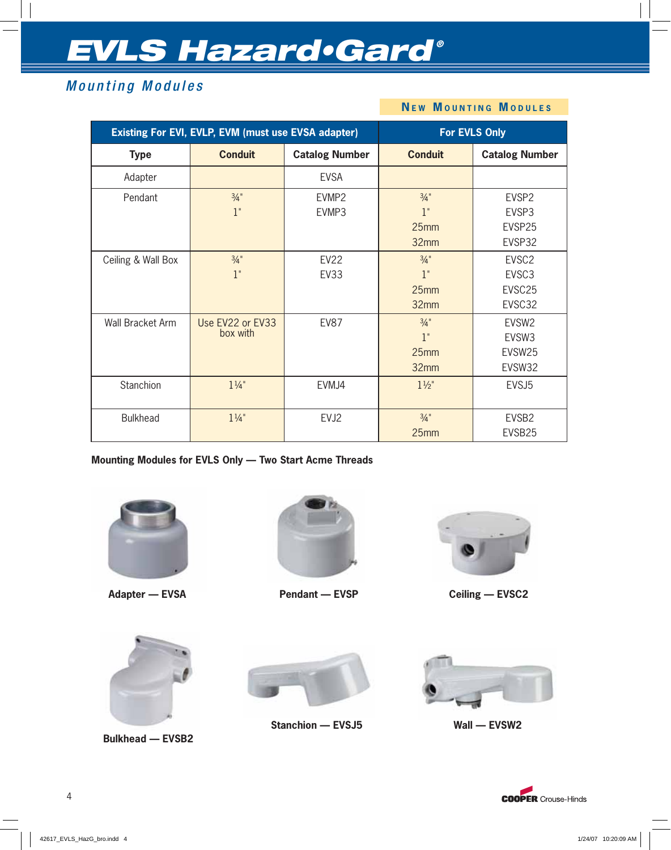## Mounting Modules

#### **Existing For EVI, EVLP, EVM (must use EVSA adapter) For EVLS Only Type Conduit Catalog Number Conduit Catalog Number** Adapter **EVSA** Pendant  $\frac{3}{4}$ "  $1$ " EVMP2 EVMP3  $\frac{3}{4}$ " 1" 25mm 32mm EVSP2 EVSP3 EVSP25 EVSP32 Ceiling & Wall Box  $\frac{3}{4}$ " 1" EV22 EV33  $\frac{3}{4}$ " 1" 25mm 32mm EVSC2 EVSC3 EVSC25 EVSC32 Wall Bracket Arm Use FV22 or FV33 box with  $FV87$   $3/4"$ 1" 25mm 32mm EVSW2 EVSW3 EVSW25 EVSW32 Stanchion | 1¼" | EVMJ4 | 1½" | EVSJ5 Bulkhead  $1\frac{1}{4}$ " EVJ2  $\frac{3}{4}$ " 25mm EVSB2 EVSB25

**N E W M OUNTING M ODULES**

**Mounting Modules for EVLS Only — Two Start Acme Threads**



**Adapter — EVSA**



**Pendant — EVSP**



**Ceiling — EVSC2**



**Bulkhead — EVSB2**



**Stanchion — EVSJ5 Wall — EVSW2**



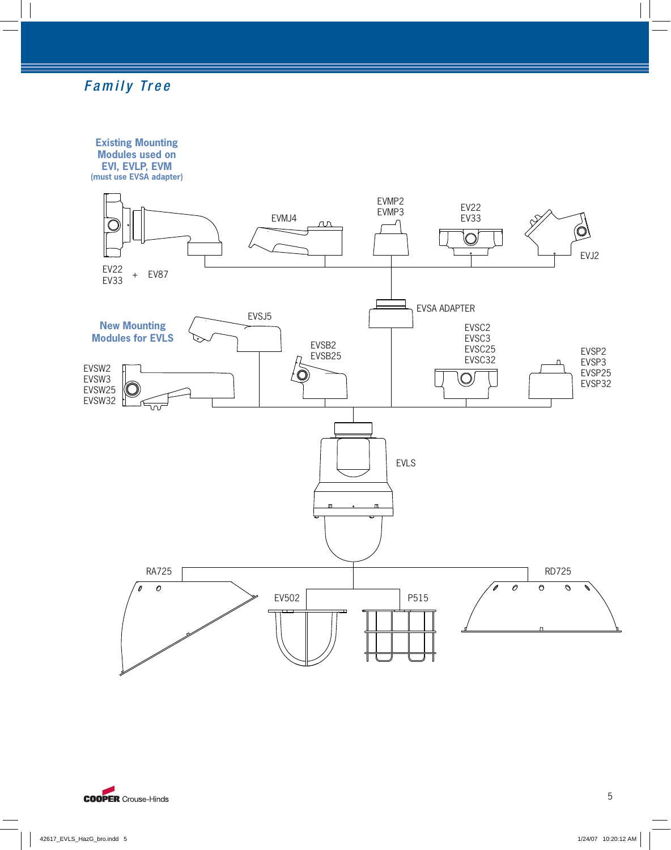## Family Tree

**Existing Mounting Modules used on EVI, EVLP, EVM**

**(must use EVSA adapter)**



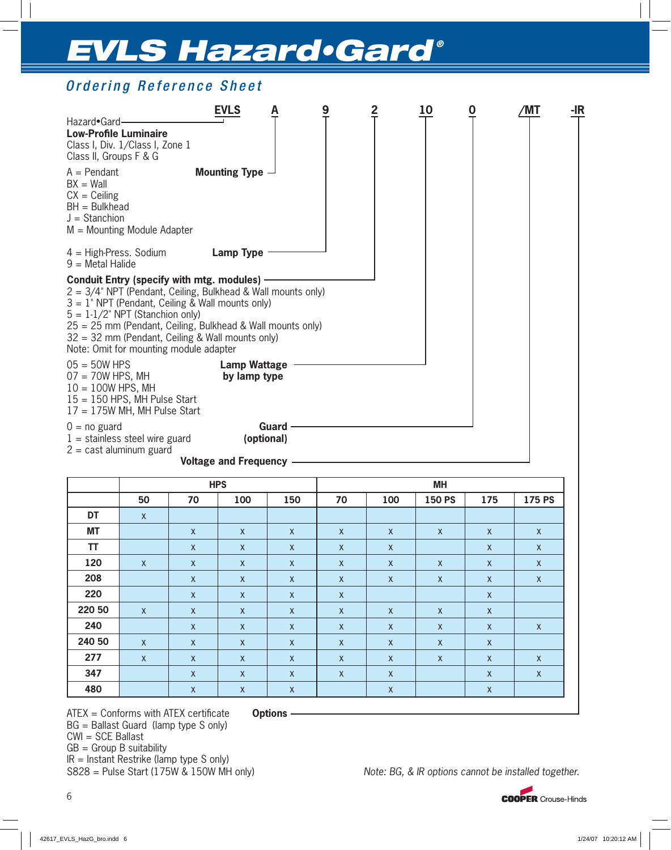## Ordering Reference Sheet

| Hazard•Gard-<br><b>Low-Profile Luminaire</b><br>Class I, Div. 1/Class I, Zone 1<br>Class II, Groups F & G                                                                                                                                                                                                                                                                 | <b>EVLS</b>                         | 9 | 10 | O | /MT | -IR |
|---------------------------------------------------------------------------------------------------------------------------------------------------------------------------------------------------------------------------------------------------------------------------------------------------------------------------------------------------------------------------|-------------------------------------|---|----|---|-----|-----|
| $A = Pendant$<br>$BX = Wall$<br>$CX = Ceiling$<br>$BH = Bulkhead$<br>$J =$ Stanchion<br>$M =$ Mounting Module Adapter                                                                                                                                                                                                                                                     | <b>Mounting Type -</b>              |   |    |   |     |     |
| $4 =$ High-Press. Sodium<br>$9 =$ Metal Halide                                                                                                                                                                                                                                                                                                                            | <b>Lamp Type</b>                    |   |    |   |     |     |
| Conduit Entry (specify with mtg. modules) -<br>$2 = 3/4$ " NPT (Pendant, Ceiling, Bulkhead & Wall mounts only)<br>$3 = 1$ " NPT (Pendant, Ceiling & Wall mounts only)<br>$5 = 1-1/2$ " NPT (Stanchion only)<br>25 = 25 mm (Pendant, Ceiling, Bulkhead & Wall mounts only)<br>$32 = 32$ mm (Pendant, Ceiling & Wall mounts only)<br>Note: Omit for mounting module adapter |                                     |   |    |   |     |     |
| $05 = 50W$ HPS<br>$07 = 70W$ HPS, MH<br>$10 = 100W$ HPS, MH<br>$15 = 150$ HPS, MH Pulse Start<br>$17 = 175W$ MH, MH Pulse Start                                                                                                                                                                                                                                           | <b>Lamp Wattage</b><br>by lamp type |   |    |   |     |     |
| $0 = no$ guard<br>$1 =$ stainless steel wire guard<br>$2 = \text{cast aluminum guard}$                                                                                                                                                                                                                                                                                    | Guard<br>(optional)                 |   |    |   |     |     |
|                                                                                                                                                                                                                                                                                                                                                                           | <b>Voltage and Frequency</b>        |   |    |   |     |     |

|           |              |              | <b>HPS</b>   |              | <b>MH</b>    |              |              |              |              |  |  |
|-----------|--------------|--------------|--------------|--------------|--------------|--------------|--------------|--------------|--------------|--|--|
|           | 50           | 70           | 100          | 150          | 70           | 175 PS       |              |              |              |  |  |
| DT        | $\mathsf{X}$ |              |              |              |              |              |              |              |              |  |  |
| <b>MT</b> |              | $\mathsf{X}$ | $\mathsf{X}$ | $\mathsf{X}$ | $\mathsf{X}$ | $\mathsf{X}$ | $\mathsf{X}$ | $\mathsf{X}$ | $\mathsf{X}$ |  |  |
| <b>TT</b> |              | $\mathsf{X}$ | $\mathsf{X}$ | $\mathsf{X}$ | $\mathsf{X}$ | $\mathsf{X}$ |              | $\mathsf{X}$ | $\mathsf{X}$ |  |  |
| 120       | $\mathsf{X}$ | $\mathsf{X}$ | $\mathsf{X}$ | $\mathsf{X}$ | $\mathsf{X}$ | $\mathsf{X}$ | $\mathsf{X}$ | $\mathsf{X}$ | $\mathsf{X}$ |  |  |
| 208       |              | $\mathsf{X}$ | $\mathsf{X}$ | $\mathsf{X}$ | $\mathsf{X}$ | $\mathsf{X}$ | $\mathsf{X}$ | $\mathsf{X}$ | $\mathsf{X}$ |  |  |
| 220       |              | $\mathsf{X}$ | $\mathsf{X}$ | $\mathsf{X}$ | $\mathsf{X}$ |              |              | $\mathsf{X}$ |              |  |  |
| 220 50    | $\mathsf{X}$ | $\mathsf{X}$ | $\mathsf{X}$ | $\mathsf{X}$ | $\mathsf{X}$ | $\mathsf{X}$ | $\mathsf{X}$ | $\mathsf{X}$ |              |  |  |
| 240       |              | $\mathsf{X}$ | $\mathsf{X}$ | $\mathsf{X}$ | $\mathsf{X}$ | $\mathsf{X}$ | $\mathsf{X}$ | $\mathsf{X}$ | $\mathsf{X}$ |  |  |
| 240 50    | $\mathsf{X}$ | $\mathsf{X}$ | $\mathsf{X}$ | $\mathsf{X}$ | $\mathsf{X}$ | $\mathsf{X}$ | $\mathsf{X}$ | $\mathsf{X}$ |              |  |  |
| 277       | $\mathsf{X}$ | $\mathsf{X}$ | $\mathsf{X}$ | $\mathsf{X}$ | $\mathsf{X}$ | $\mathsf{X}$ | $\mathsf{X}$ | $\mathsf{X}$ | $\mathsf{X}$ |  |  |
| 347       |              | $\mathsf{X}$ | $\mathsf{X}$ | $\mathsf{X}$ | $\mathsf{X}$ | $\mathsf{X}$ |              | $\mathsf{X}$ | $\mathsf{X}$ |  |  |
| 480       |              | $\mathsf{X}$ | $\mathsf X$  | $\mathsf{X}$ |              | $\mathsf X$  |              | $\mathsf X$  |              |  |  |

ATEX = Conforms with ATEX certificate **Options** -BG = Ballast Guard (lamp type S only) CWI = SCE Ballast  $GB = Group B$  suitability  $IR =$  Instant Restrike (lamp type S only)<br> $S828 =$  Pulse Start (175W & 150W MH only)

Note: BG, & IR options cannot be installed together.

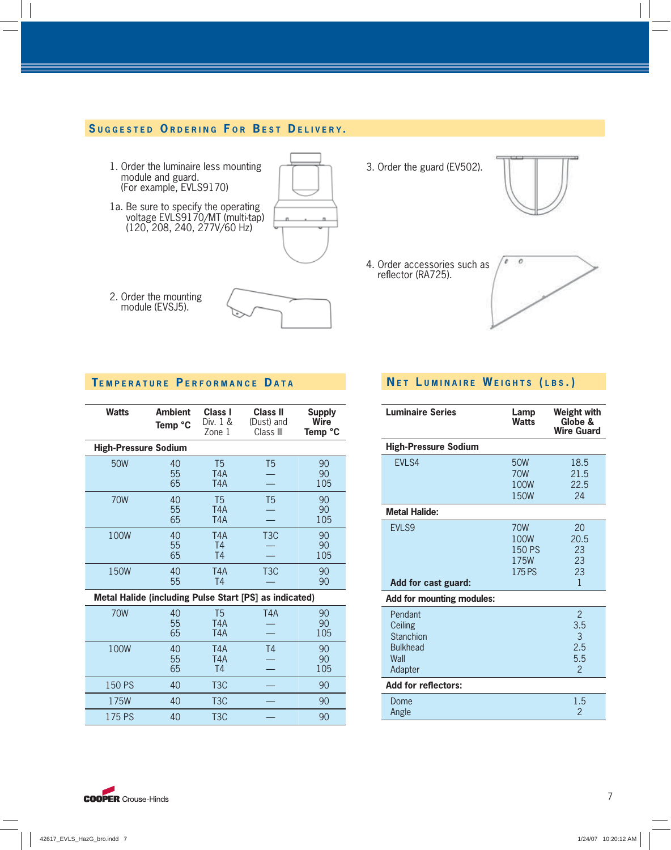## **S UGGESTED O RDERING F O R B EST D ELIVERY .**

- 1. Order the luminaire less mounting module and guard. (For example, EVLS9170)
- 1a. Be sure to specify the operating voltage EVLS9170/MT (multi-tap) (120, 208, 240, 277V/60 Hz)



- 2. Order the mounting module (EVSJ5).
- 

3. Order the guard (EV502).



4. Order accessories such as reflector (RA725).



## **TEMPERATURE P ERFORMANCE D ATA**

| <b>Watts</b>                | <b>Ambient</b><br>Temp °C | Class I<br>Div. 1 &<br>Zone 1                          | Class II<br>(Dust) and<br>Class III                    | Supply<br>Wire<br>Temp °C |
|-----------------------------|---------------------------|--------------------------------------------------------|--------------------------------------------------------|---------------------------|
| <b>High-Pressure Sodium</b> |                           |                                                        |                                                        |                           |
| 50W                         | 40<br>55<br>65            | T <sub>5</sub><br>T <sub>4</sub> A<br>T <sub>4</sub> A | T <sub>5</sub>                                         | 90<br>90<br>105           |
| <b>70W</b>                  | 40<br>55<br>65            | T <sub>5</sub><br>T <sub>4</sub> A<br>T <sub>4</sub> A | T <sub>5</sub>                                         | 90<br>90<br>105           |
| 100W                        | 40<br>55<br>65            | T <sub>4</sub> A<br>T <sub>4</sub><br>T <sub>4</sub>   | T <sub>3</sub> C                                       | 90<br>90<br>105           |
| 150W                        | 40<br>55                  | T <sub>4</sub> A<br>T <sub>4</sub>                     | T <sub>3</sub> C                                       | 90<br>90                  |
|                             |                           |                                                        | Metal Halide (including Pulse Start [PS] as indicated) |                           |
| <b>70W</b>                  | 40<br>55<br>65            | T <sub>5</sub><br>T <sub>4</sub> A<br>T <sub>4</sub> A | T <sub>4</sub> A                                       | 90<br>90<br>105           |
| 100W                        | 40<br>55<br>65            | T <sub>4</sub> A<br>T <sub>4</sub> A<br>T <sub>4</sub> | T <sub>4</sub>                                         | 90<br>90<br>105           |
| 150 PS                      | 40                        | T <sub>3</sub> C                                       |                                                        | 90                        |
| 175W                        | 40                        | T <sub>3</sub> C                                       |                                                        | 90                        |
| 175 PS                      | 40                        | T <sub>3</sub> C                                       |                                                        | 90                        |

## **N E T L UMINAIRE W EIGHTS ( LBS . )**

| <b>Luminaire Series</b>                                               | Lamp<br><b>Watts</b>                           | <b>Weight with</b><br>Globe &<br><b>Wire Guard</b>        |
|-----------------------------------------------------------------------|------------------------------------------------|-----------------------------------------------------------|
| <b>High-Pressure Sodium</b>                                           |                                                |                                                           |
| EVLS4                                                                 | 50W<br><b>70W</b><br>100W<br>150W              | 18.5<br>21.5<br>22.5<br>24                                |
| <b>Metal Halide:</b>                                                  |                                                |                                                           |
| EVLS9<br>Add for cast guard:                                          | <b>70W</b><br>100W<br>150 PS<br>175W<br>175 PS | 20<br>20.5<br>23<br>23<br>23<br>$\mathbf{1}$              |
| <b>Add for mounting modules:</b>                                      |                                                |                                                           |
| Pendant<br>Ceiling<br>Stanchion<br><b>Bulkhead</b><br>Wall<br>Adapter |                                                | $\mathfrak{p}$<br>3.5<br>3<br>2.5<br>5.5<br>$\mathcal{P}$ |
| <b>Add for reflectors:</b>                                            |                                                |                                                           |
| Dome<br>Angle                                                         |                                                | 1.5<br>$\overline{2}$                                     |

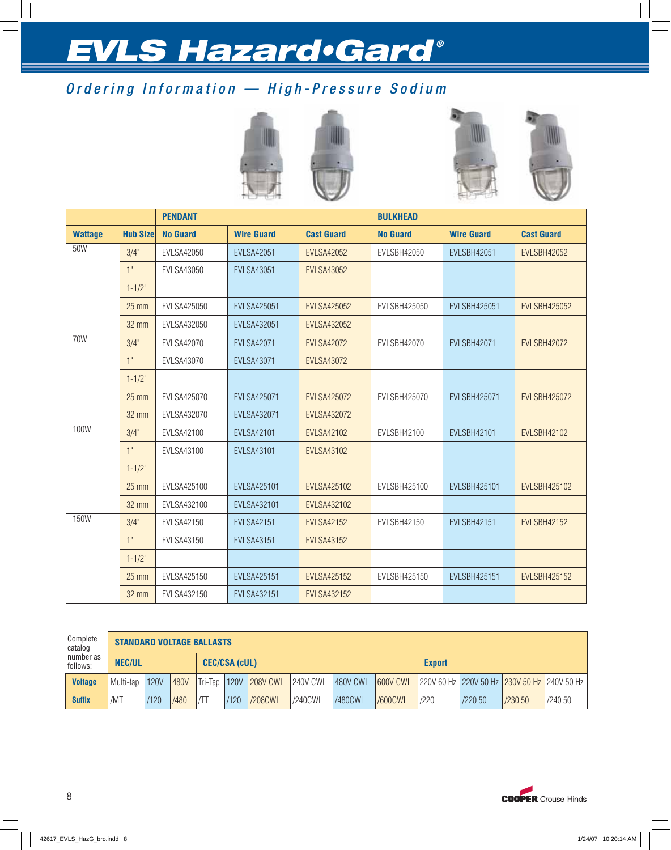## Ordering Information — High-Pressure Sodium





|                |                 | <b>PENDANT</b>    |                    |                    | <b>BULKHEAD</b>     |                     |                     |  |  |  |
|----------------|-----------------|-------------------|--------------------|--------------------|---------------------|---------------------|---------------------|--|--|--|
| <b>Wattage</b> | <b>Hub Size</b> | <b>No Guard</b>   | <b>Wire Guard</b>  | <b>Cast Guard</b>  | <b>No Guard</b>     | <b>Wire Guard</b>   | <b>Cast Guard</b>   |  |  |  |
| 50W            | 3/4"            | <b>EVLSA42050</b> | <b>EVLSA42051</b>  | <b>EVLSA42052</b>  | <b>EVLSBH42050</b>  | <b>EVLSBH42051</b>  | <b>EVLSBH42052</b>  |  |  |  |
|                | 1"              | EVLSA43050        | <b>EVLSA43051</b>  | <b>EVLSA43052</b>  |                     |                     |                     |  |  |  |
|                | $1 - 1/2"$      |                   |                    |                    |                     |                     |                     |  |  |  |
|                | $25 \text{ mm}$ | EVLSA425050       | <b>EVLSA425051</b> | <b>EVLSA425052</b> | <b>EVLSBH425050</b> | <b>EVLSBH425051</b> | <b>EVLSBH425052</b> |  |  |  |
|                | <b>32 mm</b>    | EVLSA432050       | <b>EVLSA432051</b> | <b>EVLSA432052</b> |                     |                     |                     |  |  |  |
| 70W            | 3/4"            | <b>EVLSA42070</b> | <b>EVLSA42071</b>  | <b>EVLSA42072</b>  | EVLSBH42070         | <b>EVLSBH42071</b>  | <b>EVLSBH42072</b>  |  |  |  |
|                | 1"              | <b>EVLSA43070</b> | <b>EVLSA43071</b>  | <b>EVLSA43072</b>  |                     |                     |                     |  |  |  |
|                | $1 - 1/2"$      |                   |                    |                    |                     |                     |                     |  |  |  |
|                | $25$ mm         | EVLSA425070       | <b>EVLSA425071</b> | <b>EVLSA425072</b> | <b>EVLSBH425070</b> | <b>EVLSBH425071</b> | <b>EVLSBH425072</b> |  |  |  |
|                | 32 mm           | EVLSA432070       | <b>EVLSA432071</b> | <b>EVLSA432072</b> |                     |                     |                     |  |  |  |
| 100W           | 3/4"            | <b>EVLSA42100</b> | <b>EVLSA42101</b>  | <b>EVLSA42102</b>  | EVLSBH42100         | <b>EVLSBH42101</b>  | <b>EVLSBH42102</b>  |  |  |  |
|                | 1"              | EVLSA43100        | <b>EVLSA43101</b>  | <b>EVLSA43102</b>  |                     |                     |                     |  |  |  |
|                | $1 - 1/2"$      |                   |                    |                    |                     |                     |                     |  |  |  |
|                | $25 \text{ mm}$ | EVLSA425100       | <b>EVLSA425101</b> | <b>EVLSA425102</b> | EVLSBH425100        | <b>EVLSBH425101</b> | <b>EVLSBH425102</b> |  |  |  |
|                | 32 mm           | EVLSA432100       | EVLSA432101        | <b>EVLSA432102</b> |                     |                     |                     |  |  |  |
| 150W           | 3/4"            | EVLSA42150        | <b>EVLSA42151</b>  | <b>EVLSA42152</b>  | EVLSBH42150         | EVLSBH42151         | <b>EVLSBH42152</b>  |  |  |  |
|                | 1"              | <b>EVLSA43150</b> | <b>EVLSA43151</b>  | <b>EVLSA43152</b>  |                     |                     |                     |  |  |  |
|                | $1 - 1/2"$      |                   |                    |                    |                     |                     |                     |  |  |  |
|                | $25$ mm         | EVLSA425150       | <b>EVLSA425151</b> | <b>EVLSA425152</b> | <b>EVLSBH425150</b> | <b>EVLSBH425151</b> | <b>EVLSBH425152</b> |  |  |  |
|                | 32 mm           | EVLSA432150       | <b>EVLSA432151</b> | <b>EVLSA432152</b> |                     |                     |                     |  |  |  |

| Complete<br>catalog   |               | <b>STANDARD VOLTAGE BALLASTS</b> |      |         |      |                 |          |                 |                 |               |         |         |                                                                |  |
|-----------------------|---------------|----------------------------------|------|---------|------|-----------------|----------|-----------------|-----------------|---------------|---------|---------|----------------------------------------------------------------|--|
| number as<br>follows: | <b>NEC/UL</b> | <b>CEC/CSA (cUL)</b>             |      |         |      |                 |          |                 |                 | <b>Export</b> |         |         |                                                                |  |
| <b>Voltage</b>        | Multi-tap     | <b>120V</b>                      | 480V | Tri-Tan | 120V | <b>208V CWI</b> | 240V CWI | <b>480V CWI</b> | <b>600V CWI</b> |               |         |         | 220V 60 Hz   220V 50 Hz   <mark>230V 50 Hz  </mark> 240V 50 Hz |  |
| <b>Suffix</b>         | /MT           | /120                             | /480 | ıЛT     | /120 | /208CWI         | /240CWI  | /480CWI         | /600CWI         | /220          | /220 50 | /230 50 | /240 50                                                        |  |

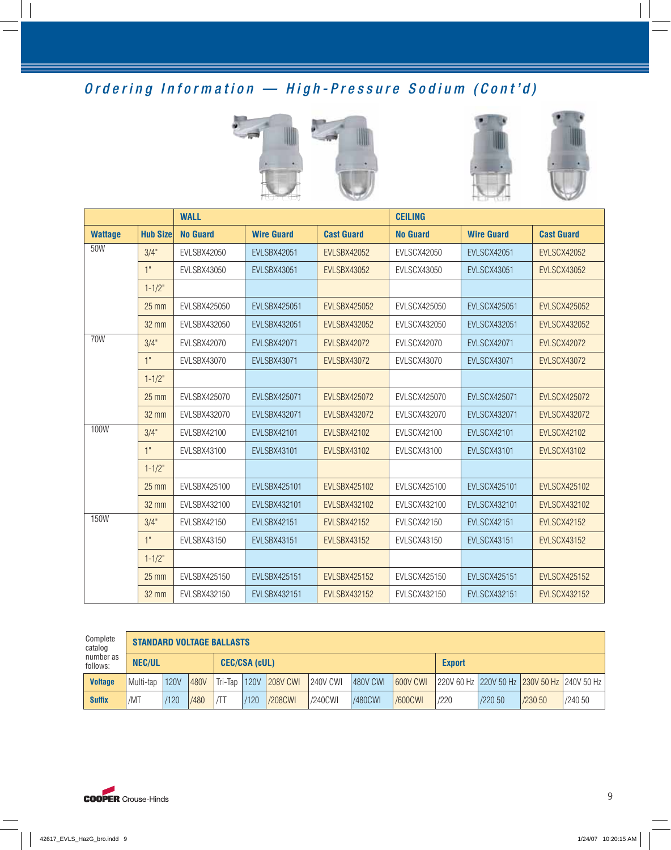## Ordering Information — High-Pressure Sodium (Cont'd)





|                |                 | <b>WALL</b>        |                     |                     | <b>CEILING</b>      |                     |                     |  |  |  |
|----------------|-----------------|--------------------|---------------------|---------------------|---------------------|---------------------|---------------------|--|--|--|
| <b>Wattage</b> | <b>Hub Size</b> | <b>No Guard</b>    | <b>Wire Guard</b>   | <b>Cast Guard</b>   | <b>No Guard</b>     | <b>Wire Guard</b>   | <b>Cast Guard</b>   |  |  |  |
| 50W            | 3/4"            | EVLSBX42050        | <b>EVLSBX42051</b>  | <b>EVLSBX42052</b>  | <b>EVLSCX42050</b>  | <b>EVLSCX42051</b>  | <b>EVLSCX42052</b>  |  |  |  |
|                | 1"              | <b>EVLSBX43050</b> | <b>EVLSBX43051</b>  | <b>EVLSBX43052</b>  | <b>EVLSCX43050</b>  | <b>EVLSCX43051</b>  | <b>EVLSCX43052</b>  |  |  |  |
|                | $1 - 1/2"$      |                    |                     |                     |                     |                     |                     |  |  |  |
|                | $25 \text{ mm}$ | EVLSBX425050       | <b>EVLSBX425051</b> | <b>EVLSBX425052</b> | <b>EVLSCX425050</b> | <b>EVLSCX425051</b> | <b>EVLSCX425052</b> |  |  |  |
|                | 32 mm           | EVLSBX432050       | <b>EVLSBX432051</b> | <b>EVLSBX432052</b> | EVLSCX432050        | <b>EVLSCX432051</b> | <b>EVLSCX432052</b> |  |  |  |
| 70W            | 3/4"            | EVLSBX42070        | <b>EVLSBX42071</b>  | <b>EVLSBX42072</b>  | <b>EVLSCX42070</b>  | <b>EVLSCX42071</b>  | <b>EVLSCX42072</b>  |  |  |  |
|                | 1"              | EVLSBX43070        | <b>EVLSBX43071</b>  | <b>EVLSBX43072</b>  | <b>EVLSCX43070</b>  | <b>EVLSCX43071</b>  | <b>EVLSCX43072</b>  |  |  |  |
|                | $1 - 1/2"$      |                    |                     |                     |                     |                     |                     |  |  |  |
|                | $25 \text{ mm}$ | EVLSBX425070       | <b>EVLSBX425071</b> | <b>EVLSBX425072</b> | <b>EVLSCX425070</b> | <b>EVLSCX425071</b> | <b>EVLSCX425072</b> |  |  |  |
|                | 32 mm           | EVLSBX432070       | EVLSBX432071        | <b>EVLSBX432072</b> | EVLSCX432070        | <b>EVLSCX432071</b> | <b>EVLSCX432072</b> |  |  |  |
| 100W           | 3/4"            | <b>EVLSBX42100</b> | <b>EVLSBX42101</b>  | <b>EVLSBX42102</b>  | <b>EVLSCX42100</b>  | <b>EVLSCX42101</b>  | <b>EVLSCX42102</b>  |  |  |  |
|                | 1"              | EVLSBX43100        | <b>EVLSBX43101</b>  | <b>EVLSBX43102</b>  | <b>EVLSCX43100</b>  | <b>EVLSCX43101</b>  | <b>EVLSCX43102</b>  |  |  |  |
|                | $1 - 1/2"$      |                    |                     |                     |                     |                     |                     |  |  |  |
|                | $25 \text{ mm}$ | EVLSBX425100       | <b>EVLSBX425101</b> | <b>EVLSBX425102</b> | <b>EVLSCX425100</b> | <b>EVLSCX425101</b> | <b>EVLSCX425102</b> |  |  |  |
|                | 32 mm           | EVLSBX432100       | EVLSBX432101        | <b>EVLSBX432102</b> | EVLSCX432100        | <b>EVLSCX432101</b> | <b>EVLSCX432102</b> |  |  |  |
| 150W           | 3/4"            | <b>EVLSBX42150</b> | <b>EVLSBX42151</b>  | <b>EVLSBX42152</b>  | <b>EVLSCX42150</b>  | <b>EVLSCX42151</b>  | <b>EVLSCX42152</b>  |  |  |  |
|                | 1"              | EVLSBX43150        | <b>EVLSBX43151</b>  | <b>EVLSBX43152</b>  | <b>EVLSCX43150</b>  | <b>EVLSCX43151</b>  | <b>EVLSCX43152</b>  |  |  |  |
|                | $1 - 1/2"$      |                    |                     |                     |                     |                     |                     |  |  |  |
|                | $25 \text{ mm}$ | EVLSBX425150       | <b>EVLSBX425151</b> | <b>EVLSBX425152</b> | <b>EVLSCX425150</b> | <b>EVLSCX425151</b> | <b>EVLSCX425152</b> |  |  |  |
|                | 32 mm           | EVLSBX432150       | <b>EVLSBX432151</b> | <b>EVLSBX432152</b> | EVLSCX432150        | <b>EVLSCX432151</b> | <b>EVLSCX432152</b> |  |  |  |

| Complete<br>catalog   |                                       | <b>STANDARD VOLTAGE BALLASTS</b> |      |             |             |                 |          |                 |                 |               |         |         |                                                                |
|-----------------------|---------------------------------------|----------------------------------|------|-------------|-------------|-----------------|----------|-----------------|-----------------|---------------|---------|---------|----------------------------------------------------------------|
| number as<br>follows: | <b>CEC/CSA (cUL)</b><br><b>NEC/UL</b> |                                  |      |             |             |                 |          |                 |                 | <b>Export</b> |         |         |                                                                |
| <b>Voltage</b>        | Multi-tap                             | <b>120V</b>                      | 480V | Tri-Tap     | <b>120V</b> | <b>208V CWI</b> | 240V CWI | <b>480V CWI</b> | <b>600V CWI</b> |               |         |         | 220V 60 Hz   220V 50 Hz   <mark>230V 50 Hz</mark>   240V 50 Hz |
| <b>Suffix</b>         | /MT                                   | /120                             | /480 | $\sqrt{11}$ | /120        | /208CWI         | /240CWI  | <b>/480CWI</b>  | /600CWI         | /220          | /220 50 | /230 50 | /240 50                                                        |

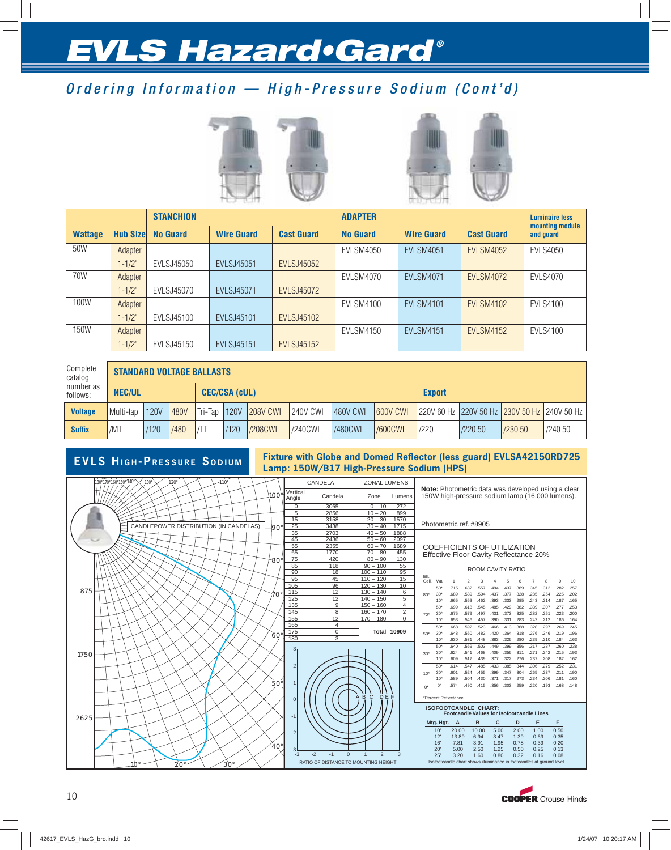## Ordering Information — High-Pressure Sodium (Cont'd)





|                |                  | <b>STANCHION</b>  |                   |                   | <b>ADAPTER</b>  |                   |                   |                              |  |  |  |
|----------------|------------------|-------------------|-------------------|-------------------|-----------------|-------------------|-------------------|------------------------------|--|--|--|
| <b>Wattage</b> | <b>Hub Sizel</b> | <b>No Guard</b>   | <b>Wire Guard</b> | <b>Cast Guard</b> | <b>No Guard</b> | <b>Wire Guard</b> | <b>Cast Guard</b> | mounting module<br>and quard |  |  |  |
| 50W            | Adapter          |                   |                   |                   | EVLSM4050       | <b>EVLSM4051</b>  | <b>EVLSM4052</b>  | <b>EVLS4050</b>              |  |  |  |
|                | $1 - 1/2"$       | <b>EVLSJ45050</b> | <b>EVLSJ45051</b> | <b>EVLSJ45052</b> |                 |                   |                   |                              |  |  |  |
| 70W            | Adapter          |                   |                   |                   | EVLSM4070       | <b>EVLSM4071</b>  | <b>EVLSM4072</b>  | <b>EVLS4070</b>              |  |  |  |
|                | $1 - 1/2"$       | <b>EVLSJ45070</b> | <b>EVLSJ45071</b> | <b>EVLSJ45072</b> |                 |                   |                   |                              |  |  |  |
| 100W           | Adapter          |                   |                   |                   | EVLSM4100       | <b>EVLSM4101</b>  | <b>EVLSM4102</b>  | <b>EVLS4100</b>              |  |  |  |
|                | $1 - 1/2"$       | EVLSJ45100        | <b>EVLSJ45101</b> | <b>EVLSJ45102</b> |                 |                   |                   |                              |  |  |  |
| 150W           | Adapter          |                   |                   |                   | EVLSM4150       | <b>EVLSM4151</b>  | <b>EVLSM4152</b>  | <b>EVLS4100</b>              |  |  |  |
|                | $1 - 1/2"$       | EVLSJ45150        | <b>EVLSJ45151</b> | <b>EVLSJ45152</b> |                 |                   |                   |                              |  |  |  |

| Complete<br>catalog   | <b>STANDARD VOLTAGE BALLASTS</b>      |             |      |         |             |                 |          |          |                 |      |         |         |                                                   |
|-----------------------|---------------------------------------|-------------|------|---------|-------------|-----------------|----------|----------|-----------------|------|---------|---------|---------------------------------------------------|
| number as<br>follows: | <b>NEC/UL</b><br><b>CEC/CSA (cUL)</b> |             |      |         |             |                 |          |          | <b>Export</b>   |      |         |         |                                                   |
| <b>Voltage</b>        | Multi-tap                             | <b>120V</b> | 480V | Tri-Tap | <b>120V</b> | <b>208V CWI</b> | 240V CWI | 480V CWI | <b>600V CWI</b> |      |         |         | 1220V 60 Hz 1220V 50 Hz 1230V 50 Hz 1240V 50 Hz 1 |
| <b>Suffix</b>         | /MT                                   | /120        | /480 |         | /120        | /208CWI         | /240CWI  | /480CWI  | <b>/600CWI</b>  | /220 | /220 50 | /230 50 | /240 50                                           |



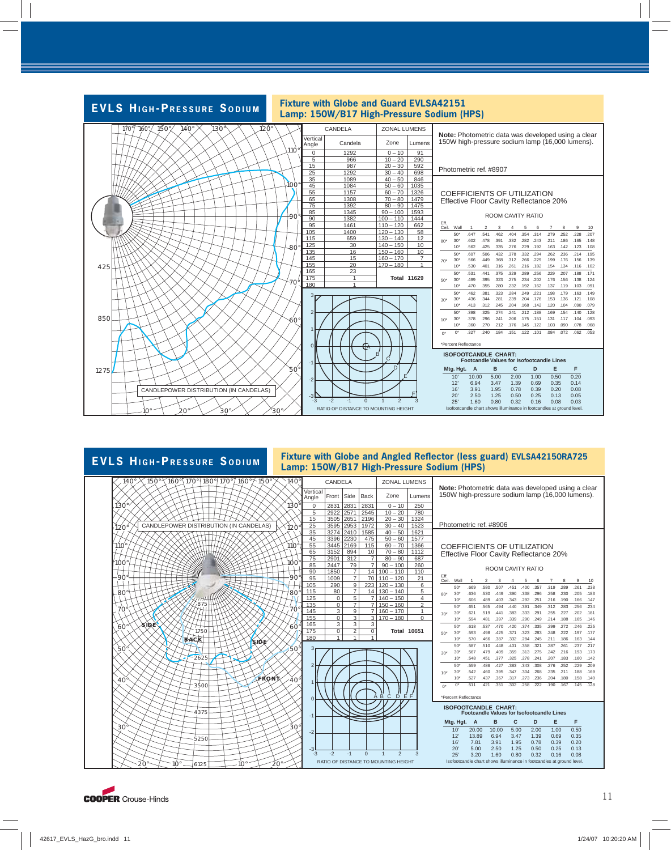

## $140\sqrt[3]{150}\sqrt[3]{160}\sqrt[3]{170}\sqrt[3]{180}\sqrt[3]{170^{\circ}}$  140 $\sqrt[3]{160}\sqrt[3]{150^{\circ}}$



#### **EVLS HIGH-PRESSURE SODIUM** Fixture with Globe and Angled Reflector (less guard) EVLSA42150RA725 **Lamp: 150W/B17 High-Pressure Sodium (HPS)**

| <b>ZONAL LUMENS</b><br>CANDELA<br>Note: Photometric data was developed using a clear                          |       |                |                |                                      |                |                                                  |           |                                        |                |                   |      |      |      |      |      |                                                 |      |
|---------------------------------------------------------------------------------------------------------------|-------|----------------|----------------|--------------------------------------|----------------|--------------------------------------------------|-----------|----------------------------------------|----------------|-------------------|------|------|------|------|------|-------------------------------------------------|------|
| Vertical<br>Angle                                                                                             | Front | Side           | <b>Back</b>    | Zone                                 | Lumens         |                                                  |           |                                        |                |                   |      |      |      |      |      | 150W high-pressure sodium lamp (16,000 lumens). |      |
| $\Omega$                                                                                                      | 2831  | 2831           | 2831           | $0 - 10$                             | 250            |                                                  |           |                                        |                |                   |      |      |      |      |      |                                                 |      |
| 5                                                                                                             | 2922  | 2571           | 2545           | $10 - 20$                            | 780            |                                                  |           |                                        |                |                   |      |      |      |      |      |                                                 |      |
| 15                                                                                                            | 3505  | 2651           | 2196           | $20 - 30$                            | 1324           |                                                  |           |                                        |                |                   |      |      |      |      |      |                                                 |      |
| 25                                                                                                            | 3595  | 2953           | 1972           | $30 - 40$                            | 1523           |                                                  |           | Photometric ref. #8906                 |                |                   |      |      |      |      |      |                                                 |      |
| 35                                                                                                            | 3274  | 2410           | 1585           | $40 - 50$                            | 1621           |                                                  |           |                                        |                |                   |      |      |      |      |      |                                                 |      |
| 45                                                                                                            | 3396  | 2230           | 475            | $50 - 60$                            | 1577           |                                                  |           |                                        |                |                   |      |      |      |      |      |                                                 |      |
| 55                                                                                                            | 3445  | 2169           | 115            | $60 - 70$                            | 1366           |                                                  |           | COEFFICIENTS OF UTILIZATION            |                |                   |      |      |      |      |      |                                                 |      |
| 65                                                                                                            | 3152  | 894            | 10             | $70 - 80$                            | 1112           |                                                  |           | Effective Floor Cavity Reflectance 20% |                |                   |      |      |      |      |      |                                                 |      |
| 75                                                                                                            | 2901  | 312            | 7              | $80 - 90$                            | 687            |                                                  |           |                                        |                |                   |      |      |      |      |      |                                                 |      |
| 85                                                                                                            | 2447  | 79             | $\overline{7}$ | $90 - 100$                           | 260            |                                                  |           |                                        |                | ROOM CAVITY RATIO |      |      |      |      |      |                                                 |      |
| 90                                                                                                            | 1850  | $\overline{7}$ | 14             | $100 - 110$                          | 110            |                                                  |           |                                        |                |                   |      |      |      |      |      |                                                 |      |
| 95                                                                                                            | 1009  | $\overline{7}$ | 70             | $110 - 120$                          | 21             | Eff.<br>Ceil.                                    | Wall      | $\mathbf{1}$                           | $\overline{2}$ | 3                 | 4    | 5    | 6    | 7    | 8    | 9                                               | 10   |
| 105                                                                                                           | 290   | 9              | 223            | $120 - 130$                          | 6              |                                                  | $50*$     | .669                                   | .580           | .507              | 451  | .400 | .357 | .319 | .289 | .261                                            | .238 |
| 115                                                                                                           | 80    | 7              | 14             | $130 - 140$                          | 5              | 80"                                              | $30*$     | .636                                   | .530           | .449              | .390 | .338 | .296 | .258 | .230 | .205                                            | .183 |
| 125                                                                                                           | 0     | 5              | $\overline{7}$ | $140 - 150$                          | 4              |                                                  | $10*$     | .606                                   | .489           | .403              | .343 | .292 | .251 | .216 | .190 | .166                                            | .147 |
| 135                                                                                                           | 0     | 7              | 7              | $150 - 160$                          | $\overline{2}$ |                                                  | $50*$     | .651                                   | .565           | .494              | 440  | .391 | .349 | .312 | .283 | .256                                            | .234 |
| 145                                                                                                           | 3     | 9              | 7              | $160 - 170$                          | 1              | $70*$                                            | $30*$     | .621                                   | .519           | .441              | .383 | .333 | .291 | .255 | .227 | .202                                            | .181 |
| 155                                                                                                           | 0     | 3              | 3              | $170 - 180$                          | U              |                                                  | $10*$     | .594                                   | .481           | .397              | .339 | .290 | .249 | .214 | .188 | .165                                            | .146 |
| 165                                                                                                           | 3     | 3              | 3              |                                      |                |                                                  | $50*$     | .618                                   | .537           | .470              | .420 | .374 | .335 | .299 | .272 | 246                                             | .225 |
| 175                                                                                                           | 0     | 2              | 0              | <b>Total 10651</b>                   |                | 50*                                              | $30*$     | 593                                    | 498            | 425               | 371  | 323  | .283 | 248  | .222 | .197                                            | .177 |
| 180                                                                                                           | 1     | 1              | 1              |                                      |                |                                                  | $10*$     | .570                                   | .466           | .387              | .332 | .284 | .245 | .211 | .186 | .163                                            | .144 |
|                                                                                                               |       |                |                |                                      |                |                                                  | 50*       | 587                                    | .510           | 448               | 401  | 358  | 321  | 287  | 261  | 237                                             | .217 |
| 3                                                                                                             |       |                |                |                                      |                | $30*$                                            | $30*$     | .567                                   | .479           | .409              | .359 | .313 | .275 | .242 | .216 | .193                                            | .173 |
|                                                                                                               |       |                |                |                                      |                |                                                  | $10*$     | .548                                   | .451           | .377              | .325 | .278 | .241 | .207 | .183 | .160                                            | .142 |
| $\overline{c}$                                                                                                |       |                |                |                                      |                |                                                  | $50*$     | .559                                   | .486           | .427              | .383 | .343 | .308 | .276 | .252 | .229                                            | .209 |
|                                                                                                               |       |                |                |                                      |                | $10*$                                            | $30*$     | .542                                   | .460           | .395              | 347  | .304 | .268 | .235 | .211 | .188                                            | .169 |
|                                                                                                               |       |                |                |                                      |                |                                                  | $10*$     | 527                                    | .437           | .367              | .317 | .273 | 236  | 204  | .180 | .158                                            | .140 |
| 1                                                                                                             |       |                |                |                                      |                | $0^*$                                            | $0^*$     | .511                                   | 421            | .351              | 302  | 258  | 222  | .190 | .167 | .145                                            | .128 |
| $\overline{0}$                                                                                                |       |                | A              | $\ddot{\mathbf{B}}$<br>Ċ<br>D<br>E F |                |                                                  |           | *Percent Reflectance                   |                |                   |      |      |      |      |      |                                                 |      |
|                                                                                                               |       |                |                |                                      |                | <b>ISOFOOTCANDLE CHART:</b>                      |           |                                        |                |                   |      |      |      |      |      |                                                 |      |
| $-1$                                                                                                          |       |                |                |                                      |                | <b>Footcandle Values for Isofootcandle Lines</b> |           |                                        |                |                   |      |      |      |      |      |                                                 |      |
|                                                                                                               |       |                |                |                                      |                |                                                  | Mtg. Hgt. | A                                      |                | B                 | C    |      | D    | Е    |      | F                                               |      |
| $-2$                                                                                                          |       |                |                |                                      |                |                                                  | 10'       | 20.00                                  |                | 10.00             | 5.00 |      | 2.00 | 1.00 |      | 0.50                                            |      |
|                                                                                                               |       |                |                |                                      |                |                                                  | 12'       | 13.89                                  |                | 6.94              | 3.47 |      | 1.39 | 0.69 |      | 0.35                                            |      |
|                                                                                                               |       |                |                |                                      |                |                                                  | 16'       | 7.81                                   |                | 3.91              | 1.95 |      | 0.78 | 0.39 |      | 0.20                                            |      |
| $-3$<br>$-3$                                                                                                  | $-2$  | $-1$           | $\Omega$       | $\overline{2}$<br>1                  | 3              |                                                  | 20'       | 5.00                                   |                | 2.50              | 1.25 |      | 0.50 | 0.25 |      | 0.13                                            |      |
|                                                                                                               |       |                |                |                                      |                |                                                  | 25'       | 3.20                                   |                | 1.60              | 0.80 |      | 0.32 | 0.16 |      | 0.08                                            |      |
| RATIO OF DISTANCE TO MOUNTING HEIGHT<br>Isofootcandle chart shows illuminance in footcandles at ground level. |       |                |                |                                      |                |                                                  |           |                                        |                |                   |      |      |      |      |      |                                                 |      |

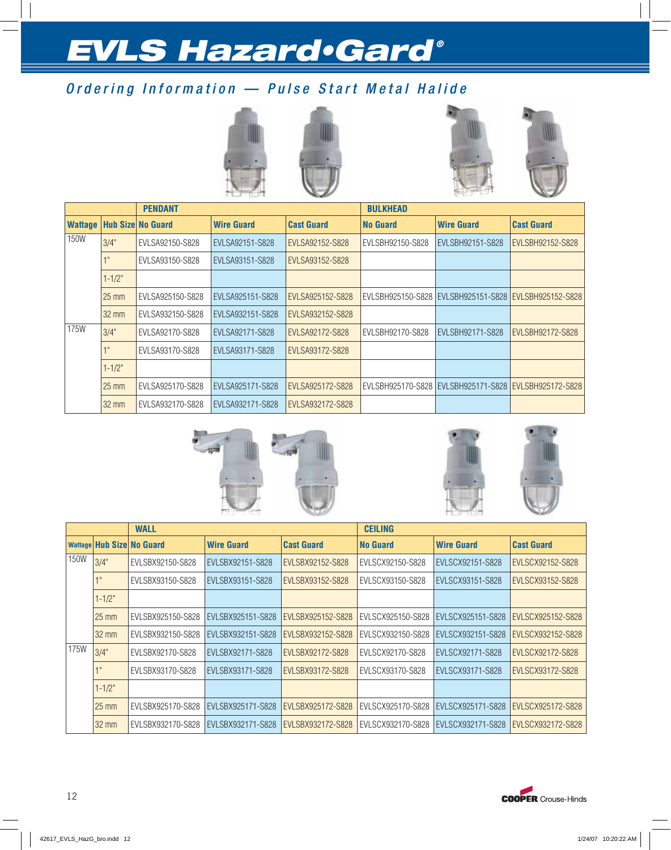## Ordering Information — Pulse Start Metal Halide







|                |                 | <b>PENDANT</b>           |                   |                   | <b>BULKHEAD</b>  |                                                       |                   |
|----------------|-----------------|--------------------------|-------------------|-------------------|------------------|-------------------------------------------------------|-------------------|
| <b>Wattage</b> |                 | <b>Hub Size No Guard</b> | <b>Wire Guard</b> | <b>Cast Guard</b> | <b>No Guard</b>  | <b>Wire Guard</b>                                     | <b>Cast Guard</b> |
| 150W           | 3/4"            | EVLSA92150-S828          | EVLSA92151-S828   | EVLSA92152-S828   | EVLSBH92150-S828 | EVLSBH92151-S828                                      | EVLSBH92152-S828  |
|                |                 | EVLSA93150-S828          | EVLSA93151-S828   | EVLSA93152-S828   |                  |                                                       |                   |
|                | $1 - 1/2"$      |                          |                   |                   |                  |                                                       |                   |
|                | $25 \text{ mm}$ | EVLSA925150-S828         | EVLSA925151-S828  | EVLSA925152-S828  |                  | EVLSBH925150-S828 EVLSBH925151-S828 EVLSBH925152-S828 |                   |
|                | $32 \text{ mm}$ | EVLSA932150-S828         | EVLSA932151-S828  | EVLSA932152-S828  |                  |                                                       |                   |
| 175W           | 3/4"            | EVLSA92170-S828          | EVLSA92171-S828   | EVLSA92172-S828   | EVLSBH92170-S828 | EVLSBH92171-S828                                      | EVLSBH92172-S828  |
|                | $\blacksquare$  | EVLSA93170-S828          | EVLSA93171-S828   | EVLSA93172-S828   |                  |                                                       |                   |
|                | $1 - 1/2"$      |                          |                   |                   |                  |                                                       |                   |
|                | $25 \text{ mm}$ | EVLSA925170-S828         | EVLSA925171-S828  | EVLSA925172-S828  |                  | EVLSBH925170-S828 EVLSBH925171-S828 EVLSBH925172-S828 |                   |
|                | $32 \text{ mm}$ | EVLSA932170-S828         | EVLSA932171-S828  | EVLSA932172-S828  |                  |                                                       |                   |







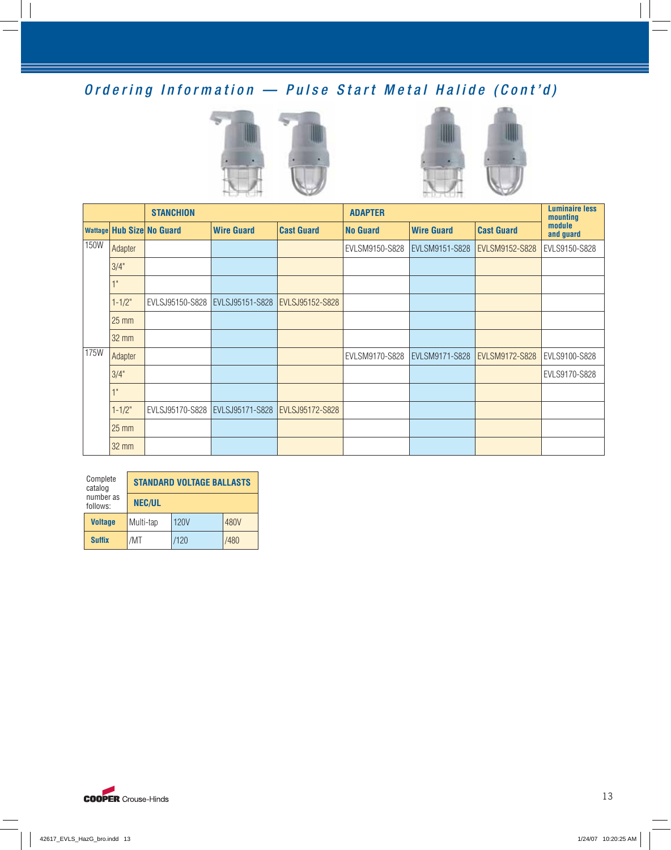## Ordering Information — Pulse Start Metal Halide (Cont'd)





|             |                 | <b>STANCHION</b>                 |                                   |                                   | <b>ADAPTER</b>  |                   | <b>Luminaire less</b><br>mounting |                     |
|-------------|-----------------|----------------------------------|-----------------------------------|-----------------------------------|-----------------|-------------------|-----------------------------------|---------------------|
|             |                 | <b>Wattage Hub Size No Guard</b> | <b>Wire Guard</b>                 | <b>Cast Guard</b>                 | <b>No Guard</b> | <b>Wire Guard</b> | <b>Cast Guard</b>                 | module<br>and guard |
| <b>150W</b> | Adapter         |                                  |                                   |                                   | EVLSM9150-S828  | EVLSM9151-S828    | EVLSM9152-S828                    | EVLS9150-S828       |
|             | 3/4"            |                                  |                                   |                                   |                 |                   |                                   |                     |
|             | 1"              |                                  |                                   |                                   |                 |                   |                                   |                     |
|             | $1 - 1/2"$      | EVLSJ95150-S828                  | EVLSJ95151-S828   EVLSJ95152-S828 |                                   |                 |                   |                                   |                     |
|             | $25 \text{ mm}$ |                                  |                                   |                                   |                 |                   |                                   |                     |
|             | $32 \text{ mm}$ |                                  |                                   |                                   |                 |                   |                                   |                     |
| 175W        | Adapter         |                                  |                                   |                                   | EVLSM9170-S828  | EVLSM9171-S828    | EVLSM9172-S828                    | EVLS9100-S828       |
|             | 3/4"            |                                  |                                   |                                   |                 |                   |                                   | EVLS9170-S828       |
|             | 1"              |                                  |                                   |                                   |                 |                   |                                   |                     |
|             | $1 - 1/2"$      | EVLSJ95170-S828                  |                                   | EVLSJ95171-S828   EVLSJ95172-S828 |                 |                   |                                   |                     |
|             | $25 \text{ mm}$ |                                  |                                   |                                   |                 |                   |                                   |                     |
|             | <b>32 mm</b>    |                                  |                                   |                                   |                 |                   |                                   |                     |

| Complete<br>catalog   | <b>STANDARD VOLTAGE BALLASTS</b> |             |      |  |  |  |  |  |
|-----------------------|----------------------------------|-------------|------|--|--|--|--|--|
| number as<br>follows: | <b>NEC/UL</b>                    |             |      |  |  |  |  |  |
| <b>Voltage</b>        | Multi-tap                        | <b>120V</b> | 480V |  |  |  |  |  |
| <b>Suffix</b>         | /MT                              | /120        | /480 |  |  |  |  |  |

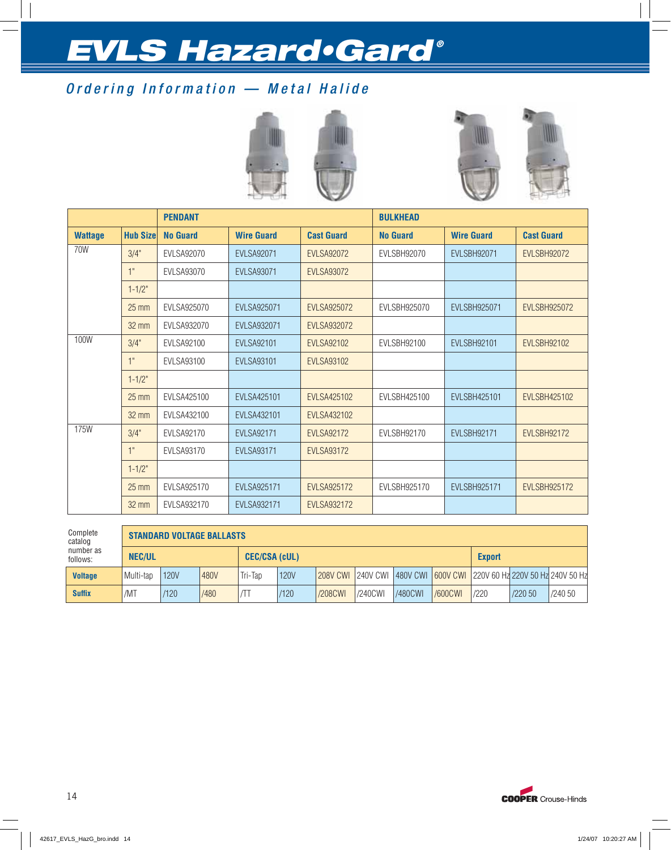## Ordering Information — Metal Halide



|                |                  | <b>PENDANT</b>    |                    |                    | <b>BULKHEAD</b>    |                     |                     |
|----------------|------------------|-------------------|--------------------|--------------------|--------------------|---------------------|---------------------|
| <b>Wattage</b> | <b>Hub Sizel</b> | <b>No Guard</b>   | <b>Wire Guard</b>  | <b>Cast Guard</b>  | <b>No Guard</b>    | <b>Wire Guard</b>   | <b>Cast Guard</b>   |
| 70W            | 3/4"             | EVLSA92070        | <b>EVLSA92071</b>  | <b>EVLSA92072</b>  | EVLSBH92070        | EVLSBH92071         | EVLSBH92072         |
|                | 1"               | EVLSA93070        | <b>EVLSA93071</b>  | <b>EVLSA93072</b>  |                    |                     |                     |
|                | $1 - 1/2"$       |                   |                    |                    |                    |                     |                     |
|                | $25 \text{ mm}$  | EVLSA925070       | <b>EVLSA925071</b> | <b>EVLSA925072</b> | EVLSBH925070       | <b>EVLSBH925071</b> | <b>EVLSBH925072</b> |
|                | $32 \text{ mm}$  | EVLSA932070       | EVLSA932071        | <b>EVLSA932072</b> |                    |                     |                     |
| 100W           | 3/4"             | EVLSA92100        | <b>EVLSA92101</b>  | <b>EVLSA92102</b>  | <b>EVLSBH92100</b> | <b>EVLSBH92101</b>  | <b>EVLSBH92102</b>  |
|                | 1"               | EVLSA93100        | <b>EVLSA93101</b>  | <b>EVLSA93102</b>  |                    |                     |                     |
|                | $1 - 1/2"$       |                   |                    |                    |                    |                     |                     |
|                | $25 \text{ mm}$  | EVLSA425100       | <b>EVLSA425101</b> | <b>EVLSA425102</b> | EVLSBH425100       | EVLSBH425101        | EVLSBH425102        |
|                | $32 \text{ mm}$  | EVLSA432100       | EVLSA432101        | <b>EVLSA432102</b> |                    |                     |                     |
| 175W           | 3/4"             | <b>EVLSA92170</b> | <b>EVLSA92171</b>  | <b>EVLSA92172</b>  | EVLSBH92170        | EVLSBH92171         | EVLSBH92172         |
|                | 1"               | EVLSA93170        | <b>EVLSA93171</b>  | <b>EVLSA93172</b>  |                    |                     |                     |
|                | $1 - 1/2$ "      |                   |                    |                    |                    |                     |                     |
|                | $25 \text{ mm}$  | EVLSA925170       | <b>EVLSA925171</b> | <b>EVLSA925172</b> | EVLSBH925170       | <b>EVLSBH925171</b> | <b>EVLSBH925172</b> |
|                | 32 mm            | EVLSA932170       | EVLSA932171        | <b>EVLSA932172</b> |                    |                     |                     |

| Complete<br>catalog<br>number as<br>follows: |               | <b>STANDARD VOLTAGE BALLASTS</b> |      |                      |             |         |         |                |                |               |                                                                      |         |  |  |
|----------------------------------------------|---------------|----------------------------------|------|----------------------|-------------|---------|---------|----------------|----------------|---------------|----------------------------------------------------------------------|---------|--|--|
|                                              | <b>NEC/UL</b> |                                  |      | <b>CEC/CSA (cUL)</b> |             |         |         |                |                | <b>Export</b> |                                                                      |         |  |  |
| <b>Voltage</b>                               | Multi-tap     | <b>120V</b>                      | 480V | Tri-Tap              | <b>120V</b> |         |         |                |                |               | 208V CWI 240V CWI 480V CWI 600V CWI 220V 60 Hz 220V 50 Hz 240V 50 Hz |         |  |  |
| <b>Suffix</b>                                | /MT           | /120                             | /480 |                      | /120        | /208CWI | /240CWI | <b>/480CWI</b> | <b>/600CWI</b> | /220          | /22050                                                               | /240 50 |  |  |

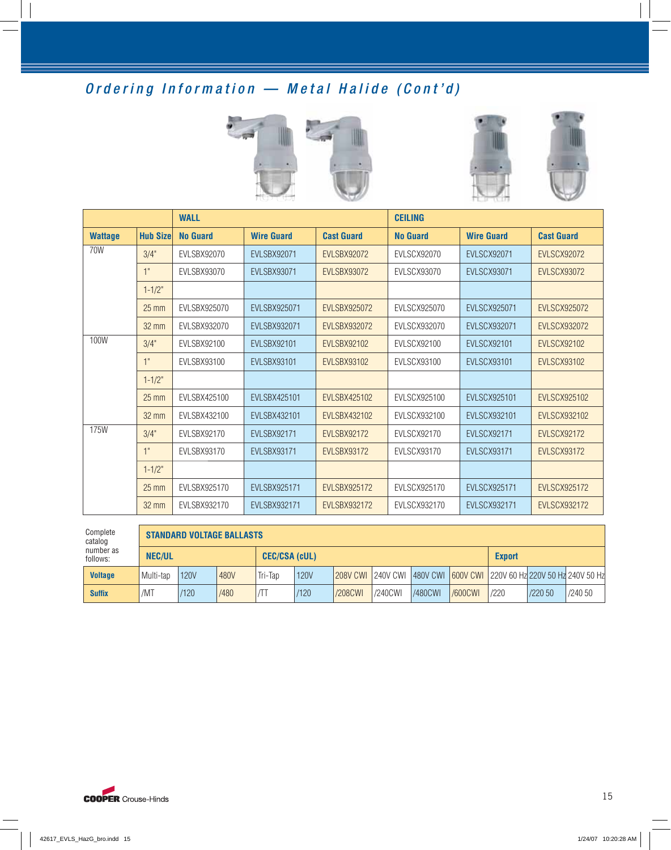## Ordering Information — Metal Halide (Cont'd)







|                |                 | <b>WALL</b>        |                     |                     | <b>CEILING</b>     |                     |                     |
|----------------|-----------------|--------------------|---------------------|---------------------|--------------------|---------------------|---------------------|
| <b>Wattage</b> | <b>Hub Size</b> | <b>No Guard</b>    | <b>Wire Guard</b>   | <b>Cast Guard</b>   | <b>No Guard</b>    | <b>Wire Guard</b>   | <b>Cast Guard</b>   |
| 70W            | 3/4"            | EVLSBX92070        | <b>EVLSBX92071</b>  | EVLSBX92072         | EVLSCX92070        | <b>EVLSCX92071</b>  | <b>EVLSCX92072</b>  |
|                | 1"              | EVLSBX93070        | <b>EVLSBX93071</b>  | <b>EVLSBX93072</b>  | EVLSCX93070        | <b>EVLSCX93071</b>  | <b>EVLSCX93072</b>  |
|                | $1 - 1/2"$      |                    |                     |                     |                    |                     |                     |
|                | $25 \text{ mm}$ | EVLSBX925070       | <b>EVLSBX925071</b> | <b>EVLSBX925072</b> | EVLSCX925070       | <b>EVLSCX925071</b> | <b>EVLSCX925072</b> |
|                | $32 \text{ mm}$ | EVLSBX932070       | <b>EVLSBX932071</b> | <b>EVLSBX932072</b> | EVLSCX932070       | <b>EVLSCX932071</b> | <b>EVLSCX932072</b> |
| 100W           | 3/4"            | <b>EVLSBX92100</b> | <b>EVLSBX92101</b>  | <b>EVLSBX92102</b>  | <b>EVLSCX92100</b> | <b>EVLSCX92101</b>  | <b>EVLSCX92102</b>  |
|                | 1"              | EVLSBX93100        | <b>EVLSBX93101</b>  | <b>EVLSBX93102</b>  | EVLSCX93100        | <b>EVLSCX93101</b>  | <b>EVLSCX93102</b>  |
|                | $1 - 1/2"$      |                    |                     |                     |                    |                     |                     |
|                | $25 \text{ mm}$ | EVLSBX425100       | <b>EVLSBX425101</b> | <b>EVLSBX425102</b> | EVLSCX925100       | <b>EVLSCX925101</b> | <b>EVLSCX925102</b> |
|                | 32 mm           | EVLSBX432100       | <b>EVLSBX432101</b> | <b>EVLSBX432102</b> | EVLSCX932100       | <b>EVLSCX932101</b> | <b>EVLSCX932102</b> |
| 175W           | 3/4"            | EVLSBX92170        | <b>EVLSBX92171</b>  | <b>EVLSBX92172</b>  | EVLSCX92170        | <b>EVLSCX92171</b>  | <b>EVLSCX92172</b>  |
|                | 1"              | EVLSBX93170        | <b>EVLSBX93171</b>  | EVLSBX93172         | EVLSCX93170        | <b>EVLSCX93171</b>  | <b>EVLSCX93172</b>  |
|                | $1 - 1/2"$      |                    |                     |                     |                    |                     |                     |
|                | $25$ mm         | EVLSBX925170       | <b>EVLSBX925171</b> | <b>EVLSBX925172</b> | EVLSCX925170       | <b>EVLSCX925171</b> | <b>EVLSCX925172</b> |
|                | 32 mm           | EVLSBX932170       | <b>EVLSBX932171</b> | <b>EVLSBX932172</b> | EVLSCX932170       | <b>EVLSCX932171</b> | <b>EVLSCX932172</b> |

| Complete<br>catalog   |               | <b>STANDARD VOLTAGE BALLASTS</b> |      |                      |      |         |         |                |                |      |                                                                              |         |  |  |
|-----------------------|---------------|----------------------------------|------|----------------------|------|---------|---------|----------------|----------------|------|------------------------------------------------------------------------------|---------|--|--|
| number as<br>follows: | <b>NEC/UL</b> |                                  |      | <b>CEC/CSA (cUL)</b> |      |         |         |                |                |      | <b>Export</b>                                                                |         |  |  |
| <b>Voltage</b>        | Multi-tap     | 120V                             | 480V | Tri-Tan              | 120V |         |         |                |                |      | 208V CWI   240V CWI   480V CWI   600V CWI   220V 60 Hz 220V 50 Hz 240V 50 Hz |         |  |  |
| <b>Suffix</b>         | /MT           | /120                             | /480 |                      | /120 | /208CWI | /240CWI | <b>/480CWI</b> | <b>/600CWI</b> | /220 | /220 50                                                                      | /240 50 |  |  |

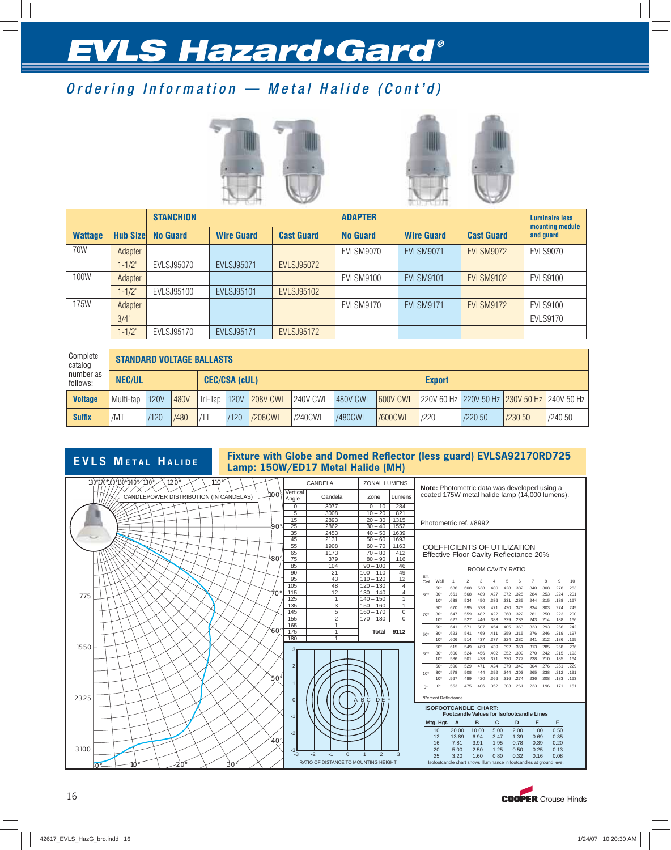## Ordering Information — Metal Halide (Cont'd)





|                |                  | <b>STANCHION</b> |                   |                   | <b>ADAPTER</b>   |                   |                   | <b>Luminaire less</b><br>mounting module |
|----------------|------------------|------------------|-------------------|-------------------|------------------|-------------------|-------------------|------------------------------------------|
| <b>Wattage</b> | <b>Hub Sizel</b> | <b>No Guard</b>  | <b>Wire Guard</b> | <b>Cast Guard</b> | <b>No Guard</b>  | <b>Wire Guard</b> | <b>Cast Guard</b> | and quard                                |
| 70W            | Adapter          |                  |                   |                   | <b>EVLSM9070</b> | <b>EVLSM9071</b>  | <b>EVLSM9072</b>  | <b>EVLS9070</b>                          |
|                | $1 - 1/2"$       | EVLSJ95070       | <b>EVLSJ95071</b> | <b>EVLSJ95072</b> |                  |                   |                   |                                          |
| 100W           | Adapter          |                  |                   |                   | EVLSM9100        | <b>EVLSM9101</b>  | <b>EVLSM9102</b>  | <b>EVLS9100</b>                          |
|                | $1 - 1/2"$       | EVLSJ95100       | <b>EVLSJ95101</b> | <b>EVLSJ95102</b> |                  |                   |                   |                                          |
| 175W           | Adapter          |                  |                   |                   | EVLSM9170        | <b>EVLSM9171</b>  | <b>EVLSM9172</b>  | <b>EVLS9100</b>                          |
|                | 3/4"             |                  |                   |                   |                  |                   |                   | <b>EVLS9170</b>                          |
|                | $1 - 1/2"$       | EVLSJ95170       | <b>EVLSJ95171</b> | <b>EVLSJ95172</b> |                  |                   |                   |                                          |

| Complete<br>catalog   |     | <b>STANDARD VOLTAGE BALLASTS</b> |      |      |                 |                      |                 |                 |               |                 |      |                                             |         |         |  |
|-----------------------|-----|----------------------------------|------|------|-----------------|----------------------|-----------------|-----------------|---------------|-----------------|------|---------------------------------------------|---------|---------|--|
| number as<br>follows: |     | <b>NEC/UL</b>                    |      |      |                 | <b>CEC/CSA (cUL)</b> |                 |                 | <b>Export</b> |                 |      |                                             |         |         |  |
| <b>Voltage</b>        |     | Multi-tap                        | 120V | 480V | $Tri$ -Tap 120V |                      | <b>208V CWI</b> | <b>240V CWI</b> | 480V CWI      | <b>600V CWI</b> |      | 220V 60 Hz 220V 50 Hz 230V 50 Hz 240V 50 Hz |         |         |  |
| <b>Suffix</b>         | /MT |                                  | /120 | /480 | $\sqrt{11}$     | /120                 | /208CWI         | /240CWI         | /480CWI       | <b>/600CWI</b>  | /220 | /22050                                      | /230 50 | /240 50 |  |

## **EVLS METAL HALIDE** Fixture with Globe and Domed Reflector (less guard) EVLSA92170RD725<br>Lamp: 150W/ED17 Metal Halide (MH)

| 180°170°160°150°140° 130°<br>$120^\circ$<br>$110^\circ$ |                 |                   | CANDELA                              | <b>ZONAL LUMENS</b>             |                | Note: Photometric data was developed using a                                                                                                                                       |
|---------------------------------------------------------|-----------------|-------------------|--------------------------------------|---------------------------------|----------------|------------------------------------------------------------------------------------------------------------------------------------------------------------------------------------|
| CANDLEPOWER DISTRIBUTION (IN CANDELAS)                  | 100°            | Vertical<br>Angle | Candela                              | Zone                            | Lumens         | coated 175W metal halide lamp (14,000 lumens).                                                                                                                                     |
|                                                         |                 | $\Omega$          | 3077                                 | $0 - 10$                        | 284            |                                                                                                                                                                                    |
|                                                         |                 | 5                 | 3008                                 | $10 - 20$                       | 821            |                                                                                                                                                                                    |
|                                                         |                 | 15                | 2893                                 | $20 - 30$                       | 1315           | Photometric ref. #8992                                                                                                                                                             |
|                                                         | -90             | 25                | 2862                                 | $30 - 40$                       | 1552           |                                                                                                                                                                                    |
|                                                         |                 | 35                | 2453                                 | $40 - 50$                       | 1639           |                                                                                                                                                                                    |
|                                                         |                 | 45                | 2131                                 | $50 - 60$                       | 1693           |                                                                                                                                                                                    |
|                                                         |                 | 55                | 1908                                 | $60 - 70$                       | 1163           | <b>COEFFICIENTS OF UTILIZATION</b>                                                                                                                                                 |
|                                                         | -80             | 65<br>75          | 1173                                 | $70 - 80$                       | 412<br>116     | Effective Floor Cavity Reflectance 20%                                                                                                                                             |
|                                                         |                 | 85                | 379<br>104                           | $80 - 90$<br>$90 - 100$         | 46             |                                                                                                                                                                                    |
|                                                         |                 | 90                | 21                                   | $100 - 110$                     | 49             | <b>ROOM CAVITY RATIO</b>                                                                                                                                                           |
|                                                         |                 | 95                | 43                                   | $110 - 120$                     | 12             | Eff.                                                                                                                                                                               |
|                                                         |                 | 105               | 48                                   | $120 - 130$                     | $\overline{4}$ | Wall<br>Ceil.<br>$\overline{7}$<br>8<br>9<br>10<br>$\overline{1}$<br>$\mathcal{P}$<br>3<br>6<br>5                                                                                  |
|                                                         | $70^{\circ}$    | 115               | 12                                   | $130 - 140$                     | $\overline{4}$ | .538<br>.480<br>.428<br>.382<br>.340<br>.308<br>.278<br>50"<br>.686<br>.608<br>.253<br>.489<br>.427<br>.372<br>.325<br>.284<br>.253<br>.224<br>$30^{\circ}$<br>.661<br>568<br>.201 |
| 775                                                     |                 | 125               | $\overline{1}$                       | $140 - 150$                     | $\mathbf{1}$   | 80'<br>.285<br>.638<br>.534<br>.450<br>.386<br>.331<br>.244 .215<br>.188<br>.167<br>10'                                                                                            |
|                                                         |                 | 135               | 3                                    | $150 - 160$                     | $\mathbf{1}$   | 50"<br>.670<br>.595<br>.528<br>.471 .420<br>.375<br>.334<br>.303<br>.274<br>.249                                                                                                   |
|                                                         |                 | 145               | 5                                    | $160 - 170$                     | $\mathbf 0$    | .322<br>.223<br>30'<br>.559<br>.482<br>.422<br>.368<br>.281<br>.250<br>.200<br>.647<br>$70*$                                                                                       |
|                                                         |                 | 155               | っ                                    | $170 - 180$                     | $\Omega$       | .627<br>.527<br>.383<br>.329<br>.283<br>.214<br>10'<br>.446<br>.243<br>.188<br>.166                                                                                                |
|                                                         |                 | 165               | $\overline{1}$                       |                                 |                | 50"<br>.571<br>.405<br>.363<br>.323<br>.293<br>.641<br>.507<br>.454<br>.266<br>.242                                                                                                |
|                                                         | $60^\circ$      | 175               |                                      | Total                           | 9112           | .359<br>.315<br>.276<br>.246<br>.219<br>30<br>.541<br>.469<br>.411<br>.197<br>.623<br>50*                                                                                          |
|                                                         |                 | 180               |                                      |                                 |                | .377 .324 .280<br>.606<br>.514<br>.437<br>.241 .212<br>.186<br>$10^{\circ}$<br>.165                                                                                                |
| 1550                                                    |                 | 3                 |                                      |                                 |                | 50<br>489<br>.439<br>.392<br>.351<br>.313<br>.285<br>.258<br>615<br>.549<br>.236                                                                                                   |
|                                                         |                 |                   |                                      |                                 |                | .600<br>.524<br>.456<br>.402<br>.352<br>.309<br>.270<br>.242<br>.215<br>.193<br>30'<br>$30*$                                                                                       |
|                                                         |                 |                   |                                      |                                 |                | .586<br>.501<br>.428<br>.371<br>.320 .277<br>.238 .210<br>.185<br>10'<br>.164                                                                                                      |
|                                                         |                 | $\overline{2}$    |                                      |                                 |                | 50"<br>.471<br>.424<br>.379<br>.340<br>.304<br>.276<br>.251<br>.229<br>.590<br>.529<br>.578<br>.508<br>.392<br>.344<br>.303<br>.265<br>.238<br>.212<br>30<br>.444<br>.191          |
|                                                         | $50^{\circ}$    |                   |                                      |                                 |                | 10 <sup>4</sup><br>.567<br>.489<br>.420<br>.366<br>.316<br>.274<br>.236<br>.208<br>.183<br>10'<br>.163                                                                             |
|                                                         |                 |                   |                                      |                                 |                | .553<br>.475<br>.406<br>.352 .303<br>.261<br>.223<br>.196<br>.171 .151<br>$0^*$<br>$0^*$                                                                                           |
|                                                         |                 |                   |                                      |                                 |                |                                                                                                                                                                                    |
| 2325                                                    |                 | $\Omega$          |                                      | $B_C$<br>$D^{\prime\prime}$ $F$ |                | *Percent Reflectance                                                                                                                                                               |
|                                                         |                 |                   |                                      |                                 |                | <b>ISOFOOTCANDLE CHART:</b>                                                                                                                                                        |
|                                                         |                 | $-1$              |                                      |                                 |                | <b>Footcandle Values for Isofootcandle Lines</b>                                                                                                                                   |
|                                                         |                 |                   |                                      |                                 |                | c<br>Е<br>F<br>Mtg. Hgt. A<br>B<br>D                                                                                                                                               |
|                                                         |                 |                   |                                      |                                 |                | 10'<br>1.00<br>0.50<br>20.00<br>10.00<br>5.00<br>2.00                                                                                                                              |
|                                                         |                 | $-2$              |                                      |                                 |                | 12"<br>13.89<br>6.94<br>3.47<br>1.39<br>0.69<br>0.35                                                                                                                               |
|                                                         | 40 <sup>°</sup> |                   |                                      |                                 |                | 0.20<br>16'<br>7.81<br>3.91<br>0.78<br>0.39<br>1.95                                                                                                                                |
| 3100                                                    |                 | -3                |                                      |                                 |                | 20<br>0.13<br>5.00<br>2.50<br>1.25<br>0.50<br>0.25                                                                                                                                 |
|                                                         |                 | $-3$              | $-2$<br>$-1$<br>$\Omega$             | $\overline{2}$                  | 3              | 25'<br>3.20<br>0.80<br>0.08<br>1.60<br>0.32<br>0.16                                                                                                                                |
| $30^\circ$<br>20°<br>10°<br>∩°                          |                 |                   | RATIO OF DISTANCE TO MOUNTING HEIGHT |                                 |                | Isofootcandle chart shows illuminance in footcandles at ground level                                                                                                               |
|                                                         |                 |                   |                                      |                                 |                |                                                                                                                                                                                    |

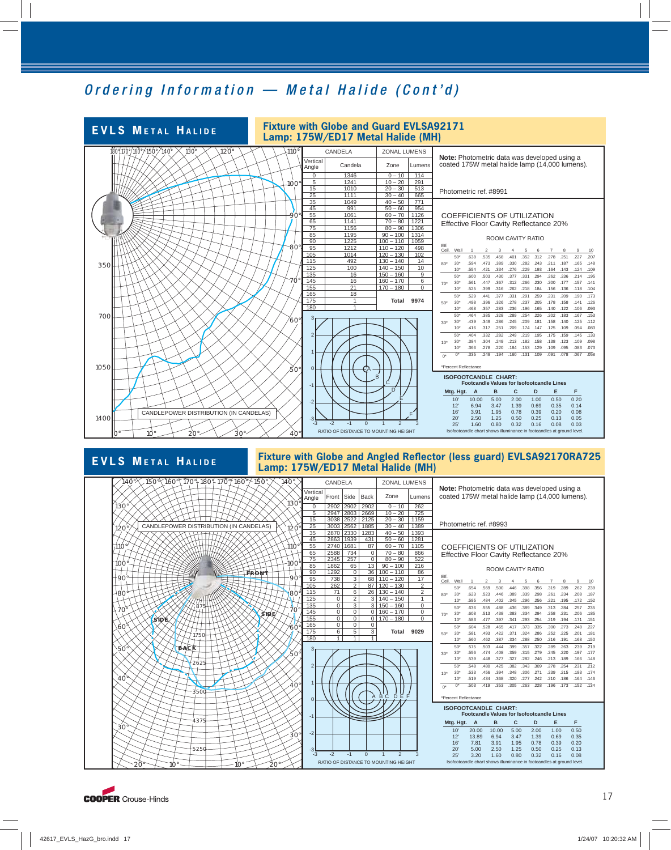## Ordering Information — Metal Halide (Cont'd)



#### **EVLS METAL HALIDE Fixture with Globe and Angled Reflector (less guard) EVLSA92170RA725 Lamp: 175W/ED17 Metal Halide (MH)**



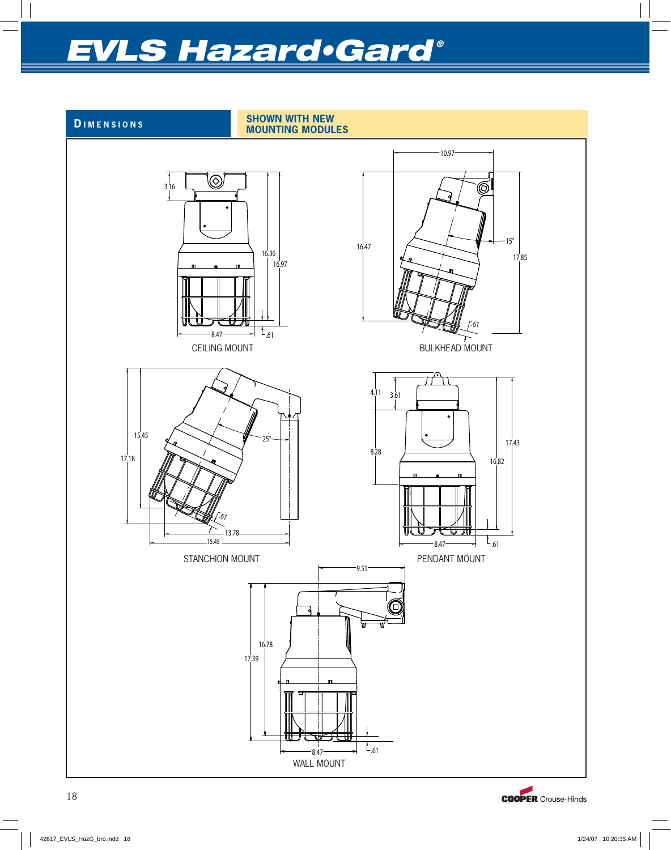

**D IMENSIONS SHOWN WITH NEW MOUNTING MODULES**



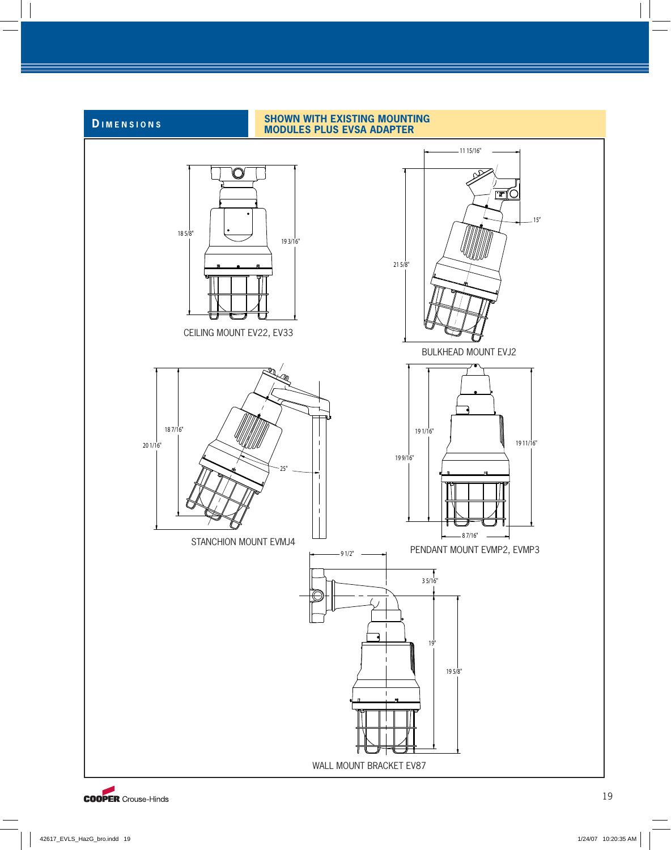